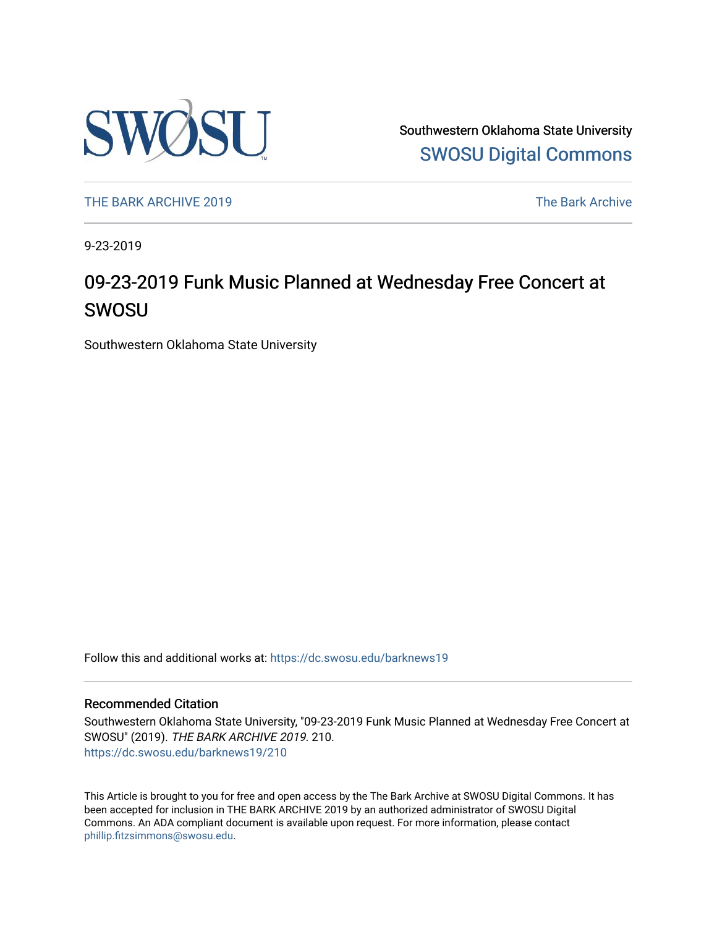

Southwestern Oklahoma State University [SWOSU Digital Commons](https://dc.swosu.edu/) 

[THE BARK ARCHIVE 2019](https://dc.swosu.edu/barknews19) The Bark Archive

9-23-2019

## 09-23-2019 Funk Music Planned at Wednesday Free Concert at SWOSU

Southwestern Oklahoma State University

Follow this and additional works at: [https://dc.swosu.edu/barknews19](https://dc.swosu.edu/barknews19?utm_source=dc.swosu.edu%2Fbarknews19%2F210&utm_medium=PDF&utm_campaign=PDFCoverPages)

#### Recommended Citation

Southwestern Oklahoma State University, "09-23-2019 Funk Music Planned at Wednesday Free Concert at SWOSU" (2019). THE BARK ARCHIVE 2019. 210. [https://dc.swosu.edu/barknews19/210](https://dc.swosu.edu/barknews19/210?utm_source=dc.swosu.edu%2Fbarknews19%2F210&utm_medium=PDF&utm_campaign=PDFCoverPages)

This Article is brought to you for free and open access by the The Bark Archive at SWOSU Digital Commons. It has been accepted for inclusion in THE BARK ARCHIVE 2019 by an authorized administrator of SWOSU Digital Commons. An ADA compliant document is available upon request. For more information, please contact [phillip.fitzsimmons@swosu.edu](mailto:phillip.fitzsimmons@swosu.edu).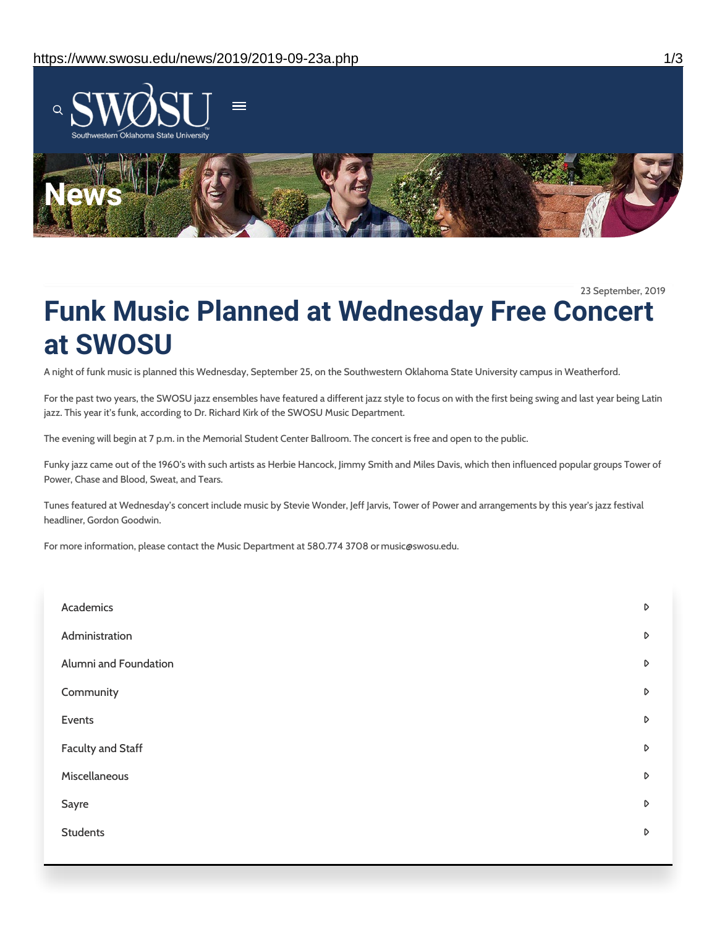

23 September, 2019

# **Funk Music Planned at Wednesday Free Concert at SWOSU**

A night of funk music is planned this Wednesday, September 25, on the Southwestern Oklahoma State University campus in Weatherford.

For the past two years, the SWOSU jazz ensembles have featured a different jazz style to focus on with the first being swing and last year being Latin jazz. This year it's funk, according to Dr. Richard Kirk of the SWOSU Music Department.

The evening will begin at 7 p.m. in the Memorial Student Center Ballroom. The concert is free and open to the public.

Funky jazz came out of the 1960's with such artists as Herbie Hancock, Jimmy Smith and Miles Davis, which then influenced popular groups Tower of Power, Chase and Blood, Sweat, and Tears.

Tunes featured at Wednesday's concert include music by Stevie Wonder, Jeff Jarvis, Tower of Power and arrangements by this year's jazz festival headliner, Gordon Goodwin.

For more information, please contact the Music Department at 580.774 3708 or music@swosu.edu.

| Academics             | $\triangleright$ |
|-----------------------|------------------|
| Administration        | $\triangleright$ |
| Alumni and Foundation | D                |
| Community             | $\mathsf D$      |
| Events                | D                |
| Faculty and Staff     | D                |
| Miscellaneous         | $\triangleright$ |
| Sayre                 | D                |
| <b>Students</b>       | D                |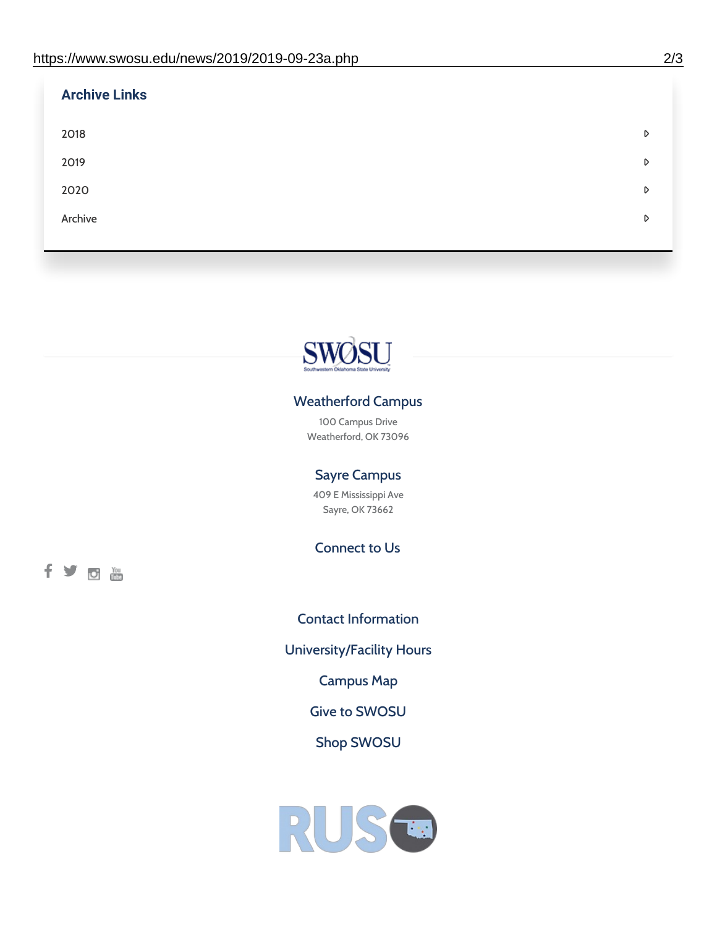| <b>Archive Links</b> |   |
|----------------------|---|
| 2018                 | D |
| 2019                 | D |
| 2020                 | D |
| Archive              | D |
|                      |   |



### Weatherford Campus

100 Campus Drive Weatherford, OK 73096

### Sayre Campus

409 E Mississippi Ave Sayre, OK 73662

Connect to Us

fyom

Contact [Information](https://www.swosu.edu/about/contact.php) [University/Facility](https://www.swosu.edu/about/operating-hours.php) Hours [Campus](https://map.concept3d.com/?id=768#!ct/10964,10214,10213,10212,10205,10204,10203,10202,10136,10129,10128,0,31226,10130,10201,10641,0) Map Give to [SWOSU](https://standingfirmly.com/donate) Shop [SWOSU](https://shopswosu.merchorders.com/)